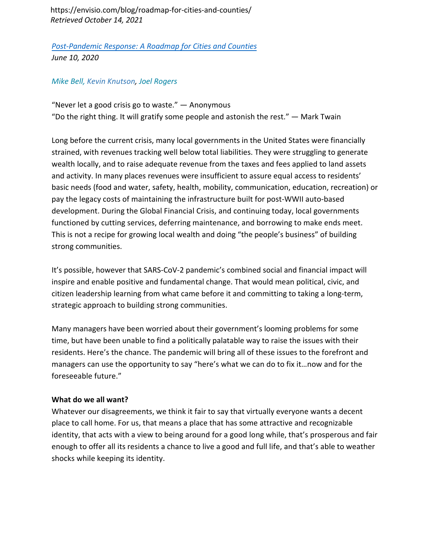https://envisio.com/blog/roadmap-for-cities-and-counties/ *Retrieved October 14, 2021*

*Post-Pandemic Response: A Roadmap for Cities and Counties [June 10, 2020](https://envisio.com/blog/roadmap-for-cities-and-counties/)* 

## *Mike Bell, [Kevin Knutson,](http://kevinknutson.us/) Joel Rogers*

"Never let a good crisis go to waste."  $-$  Anonymous "Do the right thing. It will gratify some people and astonish the rest." — Mark Twain

Long before the current crisis, many local governments in the United States were financially strained, with revenues tracking well below total liabilities. They were struggling to generate wealth locally, and to raise adequate revenue from the taxes and fees applied to land assets and activity. In many places revenues were insufficient to assure equal access to residents' basic needs (food and water, safety, health, mobility, communication, education, recreation) or pay the legacy costs of maintaining the infrastructure built for post-WWII auto-based development. During the Global Financial Crisis, and continuing today, local governments functioned by cutting services, deferring maintenance, and borrowing to make ends meet. This is not a recipe for growing local wealth and doing "the people's business" of building strong communities.

It's possible, however that SARS-CoV-2 pandemic's combined social and financial impact will inspire and enable positive and fundamental change. That would mean political, civic, and citizen leadership learning from what came before it and committing to taking a long-term, strategic approach to building strong communities.

Many managers have been worried about their government's looming problems for some time, but have been unable to find a politically palatable way to raise the issues with their residents. Here's the chance. The pandemic will bring all of these issues to the forefront and managers can use the opportunity to say "here's what we can do to fix it…now and for the foreseeable future."

## **What do we all want?**

Whatever our disagreements, we think it fair to say that virtually everyone wants a decent place to call home. For us, that means a place that has some attractive and recognizable identity, that acts with a view to being around for a good long while, that's prosperous and fair enough to offer all its residents a chance to live a good and full life, and that's able to weather shocks while keeping its identity.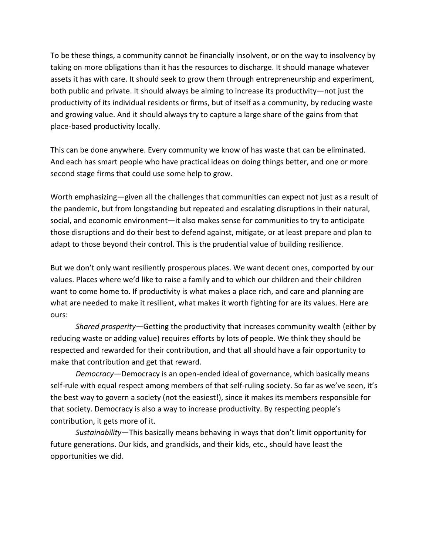To be these things, a community cannot be financially insolvent, or on the way to insolvency by taking on more obligations than it has the resources to discharge. It should manage whatever assets it has with care. It should seek to grow them through entrepreneurship and experiment, both public and private. It should always be aiming to increase its productivity—not just the productivity of its individual residents or firms, but of itself as a community, by reducing waste and growing value. And it should always try to capture a large share of the gains from that place-based productivity locally.

This can be done anywhere. Every community we know of has waste that can be eliminated. And each has smart people who have practical ideas on doing things better, and one or more second stage firms that could use some help to grow.

Worth emphasizing—given all the challenges that communities can expect not just as a result of the pandemic, but from longstanding but repeated and escalating disruptions in their natural, social, and economic environment—it also makes sense for communities to try to anticipate those disruptions and do their best to defend against, mitigate, or at least prepare and plan to adapt to those beyond their control. This is the prudential value of building resilience.

But we don't only want resiliently prosperous places. We want decent ones, comported by our values. Places where we'd like to raise a family and to which our children and their children want to come home to. If productivity is what makes a place rich, and care and planning are what are needed to make it resilient, what makes it worth fighting for are its values. Here are ours:

*Shared prosperity*—Getting the productivity that increases community wealth (either by reducing waste or adding value) requires efforts by lots of people. We think they should be respected and rewarded for their contribution, and that all should have a fair opportunity to make that contribution and get that reward.

*Democracy*—Democracy is an open-ended ideal of governance, which basically means self-rule with equal respect among members of that self-ruling society. So far as we've seen, it's the best way to govern a society (not the easiest!), since it makes its members responsible for that society. Democracy is also a way to increase productivity. By respecting people's contribution, it gets more of it.

*Sustainability*—This basically means behaving in ways that don't limit opportunity for future generations. Our kids, and grandkids, and their kids, etc., should have least the opportunities we did.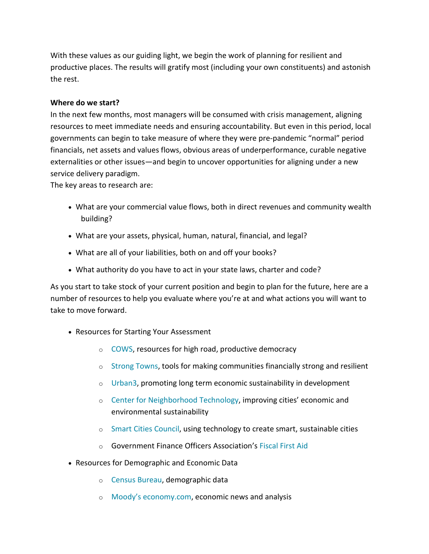With these values as our guiding light, we begin the work of planning for resilient and productive places. The results will gratify most (including your own constituents) and astonish the rest.

## **Where do we start?**

In the next few months, most managers will be consumed with crisis management, aligning resources to meet immediate needs and ensuring accountability. But even in this period, local governments can begin to take measure of where they were pre-pandemic "normal" period financials, net assets and values flows, obvious areas of underperformance, curable negative externalities or other issues—and begin to uncover opportunities for aligning under a new service delivery paradigm.

The key areas to research are:

- What are your commercial value flows, both in direct revenues and community wealth building?
- What are your assets, physical, human, natural, financial, and legal?
- What are all of your liabilities, both on and off your books?
- What authority do you have to act in your state laws, charter and code?

As you start to take stock of your current position and begin to plan for the future, here are a number of resources to help you evaluate where you're at and what actions you will want to take to move forward.

- Resources for Starting Your Assessment
	- o [COWS,](https://www.cows.org/) resources for high road, productive democracy
	- o [Strong Towns,](https://www.strongtowns.org/) tools for making communities financially strong and resilient
	- o [Urban3,](https://www.urban-three.com/) promoting long term economic sustainability in development
	- o [Center for Neighborhood Technology,](https://www.cnt.org/) improving cities' economic and environmental sustainability
	- o [Smart Cities Council,](https://smartcitiescouncil.com/) using technology to create smart, sustainable cities
	- o Government Finance Officers Association's Fiscal [First Aid](https://gfoa.org/fiscal-first-aid)
- Resources for Demographic and Economic Data
	- o [Census Bureau,](https://www.census.gov/) demographic data
	- o [Moody's economy.com,](https://www.economy.com/) economic news and analysis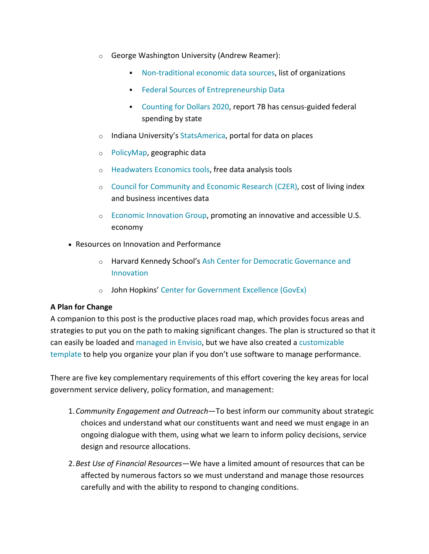- o George Washington University (Andrew Reamer):
	- [Non-traditional economic data sources,](https://gwipp.gwu.edu/non-traditional-sources-economic-data) list of organizations
	- **[Federal Sources of Entrepreneurship Data](https://gwipp.gwu.edu/federal-sources-entrepreneurship-data-compendium)**
	- [Counting for Dollars 2020,](https://gwipp.gwu.edu/counting-dollars-2020-role-decennial-census-geographic-distribution-federal-funds) report 7B has census-guided federal spending by state
- $\circ$  Indiana University's [StatsAmerica,](https://www.statsamerica.org/) portal for data on places
- o [PolicyMap,](https://www.policymap.com/) geographic data
- o [Headwaters Economics tools,](https://headwaterseconomics.org/tools/) free data analysis tools
- o [Council for Community and Economic Research \(C2ER\),](https://www.c2er.org/) cost of living index and business incentives data
- o [Economic Innovation Group,](https://eig.org/) promoting an innovative and accessible U.S. economy
- Resources on Innovation and Performance
	- o Harvard Kennedy School's [Ash Center for Democratic Governance and](https://ash.harvard.edu/) [Innovation](https://ash.harvard.edu/)
	- o John Hopkins' [Center for Government Excellence \(GovEx\)](https://govex.jhu.edu/)

## **A Plan for Change**

A companion to this post is the productive places road map, which provides focus areas and strategies to put you on the path to making significant changes. The plan is structured so that it can easily be loaded and [managed in Envisio,](https://envisio.com/industries/government-strategic-planning-software/) but we have also created a [customizable](https://docs.google.com/spreadsheets/d/1TpmhQ2Yzjnv4lu2xWoaO6nELwnIA0fijMTzKHTlWZvM/edit?usp=sharing)  [template](https://docs.google.com/spreadsheets/d/1TpmhQ2Yzjnv4lu2xWoaO6nELwnIA0fijMTzKHTlWZvM/edit?usp=sharing) to help you organize your plan if you don't use software to manage performance.

There are five key complementary requirements of this effort covering the key areas for local government service delivery, policy formation, and management:

- 1.*Community Engagement and Outreach*—To best inform our community about strategic choices and understand what our constituents want and need we must engage in an ongoing dialogue with them, using what we learn to inform policy decisions, service design and resource allocations.
- 2.*Best Use of Financial Resources*—We have a limited amount of resources that can be affected by numerous factors so we must understand and manage those resources carefully and with the ability to respond to changing conditions.